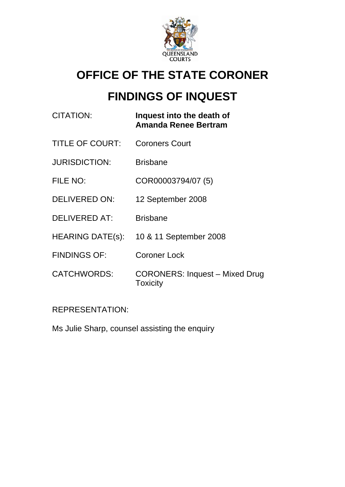

# **OFFICE OF THE STATE CORONER**

# **FINDINGS OF INQUEST**

| <b>CITATION:</b>        | Inquest into the death of<br><b>Amanda Renee Bertram</b> |
|-------------------------|----------------------------------------------------------|
| <b>TITLE OF COURT:</b>  | <b>Coroners Court</b>                                    |
| <b>JURISDICTION:</b>    | <b>Brisbane</b>                                          |
| FILE NO:                | COR00003794/07 (5)                                       |
| <b>DELIVERED ON:</b>    | 12 September 2008                                        |
| <b>DELIVERED AT:</b>    | <b>Brisbane</b>                                          |
| <b>HEARING DATE(s):</b> | 10 & 11 September 2008                                   |
| <b>FINDINGS OF:</b>     | <b>Coroner Lock</b>                                      |
| <b>CATCHWORDS:</b>      | <b>CORONERS: Inquest - Mixed Drug</b><br>Toxicity        |

# REPRESENTATION:

Ms Julie Sharp, counsel assisting the enquiry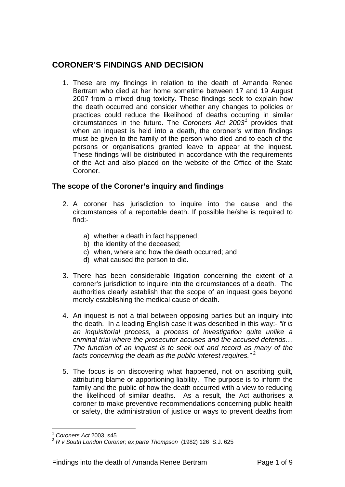# **CORONER'S FINDINGS AND DECISION**

1. These are my findings in relation to the death of Amanda Renee Bertram who died at her home sometime between 17 and 19 August 2007 from a mixed drug toxicity. These findings seek to explain how the death occurred and consider whether any changes to policies or practices could reduce the likelihood of deaths occurring in similar circumstances in the future. The *Coroners Act 2003[1](#page-1-0)* provides that when an inquest is held into a death, the coroner's written findings must be given to the family of the person who died and to each of the persons or organisations granted leave to appear at the inquest. These findings will be distributed in accordance with the requirements of the Act and also placed on the website of the Office of the State Coroner.

## **The scope of the Coroner's inquiry and findings**

- 2. A coroner has jurisdiction to inquire into the cause and the circumstances of a reportable death. If possible he/she is required to find:
	- a) whether a death in fact happened;
	- b) the identity of the deceased;
	- c) when, where and how the death occurred; and
	- d) what caused the person to die.
- 3. There has been considerable litigation concerning the extent of a coroner's jurisdiction to inquire into the circumstances of a death. The authorities clearly establish that the scope of an inquest goes beyond merely establishing the medical cause of death.
- 4. An inquest is not a trial between opposing parties but an inquiry into the death. In a leading English case it was described in this way:- *"It is an inquisitorial process, a process of investigation quite unlike a criminal trial where the prosecutor accuses and the accused defends… The function of an inquest is to seek out and record as many of the*  facts concerning the death as the public interest requires."<sup>[2](#page-1-1)</sup>
- 5. The focus is on discovering what happened, not on ascribing guilt, attributing blame or apportioning liability. The purpose is to inform the family and the public of how the death occurred with a view to reducing the likelihood of similar deaths. As a result, the Act authorises a coroner to make preventive recommendations concerning public health or safety, the administration of justice or ways to prevent deaths from

<u>.</u>

<sup>1</sup> *Coroners Act* 2003, s45

<span id="page-1-1"></span><span id="page-1-0"></span><sup>2</sup> *R v South London Coroner; ex parte Thompson* (1982) 126 S.J. 625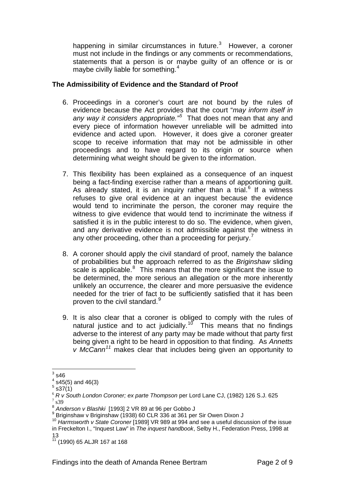happening in similar circumstances in future. $3$  However, a coroner must not include in the findings or any comments or recommendations, statements that a person is or maybe guilty of an offence or is or maybe civilly liable for something.<sup>[4](#page-2-1)</sup>

#### **The Admissibility of Evidence and the Standard of Proof**

- 6. Proceedings in a coroner's court are not bound by the rules of evidence because the Act provides that the court "*may inform itself in*  any way it considers appropriate.<sup>"[5](#page-2-2)</sup> That does not mean that any and every piece of information however unreliable will be admitted into evidence and acted upon. However, it does give a coroner greater scope to receive information that may not be admissible in other proceedings and to have regard to its origin or source when determining what weight should be given to the information.
- 7. This flexibility has been explained as a consequence of an inquest being a fact-finding exercise rather than a means of apportioning guilt. As already stated, it is an inquiry rather than a trial.<sup>[6](#page-2-3)</sup> If a witness refuses to give oral evidence at an inquest because the evidence would tend to incriminate the person, the coroner may require the witness to give evidence that would tend to incriminate the witness if satisfied it is in the public interest to do so. The evidence, when given, and any derivative evidence is not admissible against the witness in any other proceeding, other than a proceeding for perjury.<sup>[7](#page-2-4)</sup>
- 8. A coroner should apply the civil standard of proof, namely the balance of probabilities but the approach referred to as the *Briginshaw* sliding scale is applicable.<sup>[8](#page-2-5)</sup> This means that the more significant the issue to be determined, the more serious an allegation or the more inherently unlikely an occurrence, the clearer and more persuasive the evidence needed for the trier of fact to be sufficiently satisfied that it has been proven to the civil standard.<sup>[9](#page-2-6)</sup>
- 9. It is also clear that a coroner is obliged to comply with the rules of natural justice and to act judicially.<sup>[10](#page-2-7)</sup> This means that no findings adverse to the interest of any party may be made without that party first being given a right to be heard in opposition to that finding. As *Annetts v McCann[11](#page-2-8)* makes clear that includes being given an opportunity to

 $\frac{1}{3}$  s46

<span id="page-2-1"></span><span id="page-2-0"></span> $4$  s45(5) and 46(3)

 $5$  s37 $(1)$ 

<span id="page-2-3"></span><span id="page-2-2"></span><sup>6</sup> *R v South London Coroner; ex parte Thompson* per Lord Lane CJ, (1982) 126 S.J. 625 <sup>7</sup>  $7$  s39

<span id="page-2-5"></span><span id="page-2-4"></span><sup>8</sup> *Anderson v Blashki* [1993] 2 VR 89 at 96 per Gobbo J 9

<span id="page-2-6"></span><sup>&</sup>lt;sup>9</sup> Briginshaw v Briginshaw (1938) 60 CLR 336 at 361 per Sir Owen Dixon J

<span id="page-2-7"></span><sup>10</sup> *Harmsworth v State Coroner* [1989] VR 989 at 994 and see a useful discussion of the issue in Freckelton I., "Inquest Law" in *The inquest handbook*, Selby H., Federation Press, 1998 at 13

<span id="page-2-8"></span><sup>11 (1990) 65</sup> ALJR 167 at 168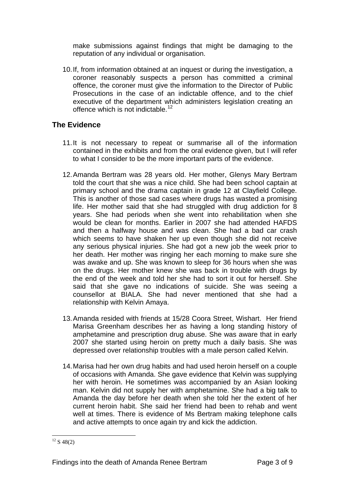make submissions against findings that might be damaging to the reputation of any individual or organisation.

10. If, from information obtained at an inquest or during the investigation, a coroner reasonably suspects a person has committed a criminal offence, the coroner must give the information to the Director of Public Prosecutions in the case of an indictable offence, and to the chief executive of the department which administers legislation creating an offence which is not indictable.<sup>[12](#page-3-0)</sup>

### **The Evidence**

- 11. It is not necessary to repeat or summarise all of the information contained in the exhibits and from the oral evidence given, but I will refer to what I consider to be the more important parts of the evidence.
- 12. Amanda Bertram was 28 years old. Her mother, Glenys Mary Bertram told the court that she was a nice child. She had been school captain at primary school and the drama captain in grade 12 at Clayfield College. This is another of those sad cases where drugs has wasted a promising life. Her mother said that she had struggled with drug addiction for 8 years. She had periods when she went into rehabilitation when she would be clean for months. Earlier in 2007 she had attended HAFDS and then a halfway house and was clean. She had a bad car crash which seems to have shaken her up even though she did not receive any serious physical injuries. She had got a new job the week prior to her death. Her mother was ringing her each morning to make sure she was awake and up. She was known to sleep for 36 hours when she was on the drugs. Her mother knew she was back in trouble with drugs by the end of the week and told her she had to sort it out for herself. She said that she gave no indications of suicide. She was seeing a counsellor at BIALA. She had never mentioned that she had a relationship with Kelvin Amaya.
- 13. Amanda resided with friends at 15/28 Coora Street, Wishart. Her friend Marisa Greenham describes her as having a long standing history of amphetamine and prescription drug abuse. She was aware that in early 2007 she started using heroin on pretty much a daily basis. She was depressed over relationship troubles with a male person called Kelvin.
- 14. Marisa had her own drug habits and had used heroin herself on a couple of occasions with Amanda. She gave evidence that Kelvin was supplying her with heroin. He sometimes was accompanied by an Asian looking man. Kelvin did not supply her with amphetamine. She had a big talk to Amanda the day before her death when she told her the extent of her current heroin habit. She said her friend had been to rehab and went well at times. There is evidence of Ms Bertram making telephone calls and active attempts to once again try and kick the addiction.

<span id="page-3-0"></span><sup>1</sup>  $12$  S 48(2)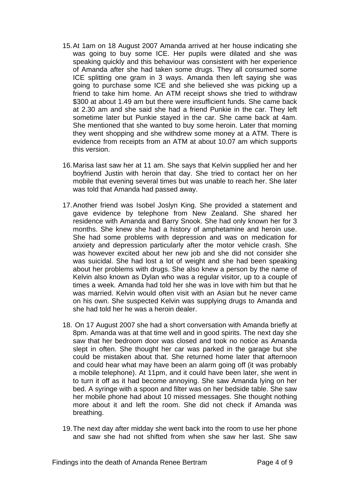- 15. At 1am on 18 August 2007 Amanda arrived at her house indicating she was going to buy some ICE. Her pupils were dilated and she was speaking quickly and this behaviour was consistent with her experience of Amanda after she had taken some drugs. They all consumed some ICE splitting one gram in 3 ways. Amanda then left saying she was going to purchase some ICE and she believed she was picking up a friend to take him home. An ATM receipt shows she tried to withdraw \$300 at about 1.49 am but there were insufficient funds. She came back at 2.30 am and she said she had a friend Punkie in the car. They left sometime later but Punkie stayed in the car. She came back at 4am. She mentioned that she wanted to buy some heroin. Later that morning they went shopping and she withdrew some money at a ATM. There is evidence from receipts from an ATM at about 10.07 am which supports this version.
- 16. Marisa last saw her at 11 am. She says that Kelvin supplied her and her boyfriend Justin with heroin that day. She tried to contact her on her mobile that evening several times but was unable to reach her. She later was told that Amanda had passed away.
- 17. Another friend was Isobel Joslyn King. She provided a statement and gave evidence by telephone from New Zealand. She shared her residence with Amanda and Barry Snook. She had only known her for 3 months. She knew she had a history of amphetamine and heroin use. She had some problems with depression and was on medication for anxiety and depression particularly after the motor vehicle crash. She was however excited about her new job and she did not consider she was suicidal. She had lost a lot of weight and she had been speaking about her problems with drugs. She also knew a person by the name of Kelvin also known as Dylan who was a regular visitor, up to a couple of times a week. Amanda had told her she was in love with him but that he was married. Kelvin would often visit with an Asian but he never came on his own. She suspected Kelvin was supplying drugs to Amanda and she had told her he was a heroin dealer.
- 18. On 17 August 2007 she had a short conversation with Amanda briefly at 8pm. Amanda was at that time well and in good spirits. The next day she saw that her bedroom door was closed and took no notice as Amanda slept in often. She thought her car was parked in the garage but she could be mistaken about that. She returned home later that afternoon and could hear what may have been an alarm going off (it was probably a mobile telephone). At 11pm, and it could have been later, she went in to turn it off as it had become annoying. She saw Amanda lying on her bed. A syringe with a spoon and filter was on her bedside table. She saw her mobile phone had about 10 missed messages. She thought nothing more about it and left the room. She did not check if Amanda was breathing.
- 19. The next day after midday she went back into the room to use her phone and saw she had not shifted from when she saw her last. She saw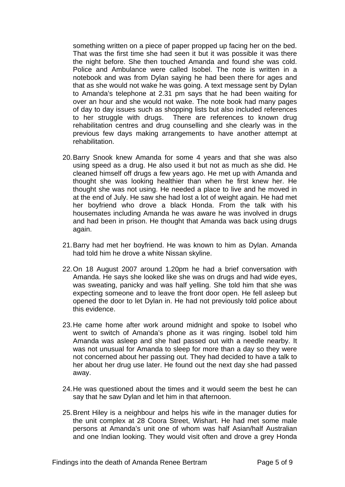something written on a piece of paper propped up facing her on the bed. That was the first time she had seen it but it was possible it was there the night before. She then touched Amanda and found she was cold. Police and Ambulance were called Isobel. The note is written in a notebook and was from Dylan saying he had been there for ages and that as she would not wake he was going. A text message sent by Dylan to Amanda's telephone at 2.31 pm says that he had been waiting for over an hour and she would not wake. The note book had many pages of day to day issues such as shopping lists but also included references to her struggle with drugs. There are references to known drug rehabilitation centres and drug counselling and she clearly was in the previous few days making arrangements to have another attempt at rehabilitation.

- 20. Barry Snook knew Amanda for some 4 years and that she was also using speed as a drug. He also used it but not as much as she did. He cleaned himself off drugs a few years ago. He met up with Amanda and thought she was looking healthier than when he first knew her. He thought she was not using. He needed a place to live and he moved in at the end of July. He saw she had lost a lot of weight again. He had met her boyfriend who drove a black Honda. From the talk with his housemates including Amanda he was aware he was involved in drugs and had been in prison. He thought that Amanda was back using drugs again.
- 21. Barry had met her boyfriend. He was known to him as Dylan. Amanda had told him he drove a white Nissan skyline.
- 22. On 18 August 2007 around 1.20pm he had a brief conversation with Amanda. He says she looked like she was on drugs and had wide eyes, was sweating, panicky and was half yelling. She told him that she was expecting someone and to leave the front door open. He fell asleep but opened the door to let Dylan in. He had not previously told police about this evidence.
- 23. He came home after work around midnight and spoke to Isobel who went to switch of Amanda's phone as it was ringing. Isobel told him Amanda was asleep and she had passed out with a needle nearby. It was not unusual for Amanda to sleep for more than a day so they were not concerned about her passing out. They had decided to have a talk to her about her drug use later. He found out the next day she had passed away.
- 24. He was questioned about the times and it would seem the best he can say that he saw Dylan and let him in that afternoon.
- 25. Brent Hiley is a neighbour and helps his wife in the manager duties for the unit complex at 28 Coora Street, Wishart. He had met some male persons at Amanda's unit one of whom was half Asian/half Australian and one Indian looking. They would visit often and drove a grey Honda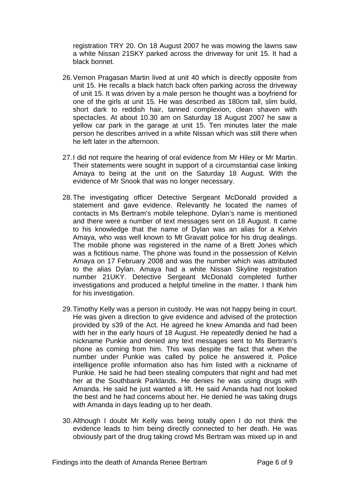registration TRY 20. On 18 August 2007 he was mowing the lawns saw a white Nissan 21SKY parked across the driveway for unit 15. It had a black bonnet.

- 26. Vernon Pragasan Martin lived at unit 40 which is directly opposite from unit 15. He recalls a black hatch back often parking across the driveway of unit 15. It was driven by a male person he thought was a boyfriend for one of the girls at unit 15. He was described as 180cm tall, slim build, short dark to reddish hair, tanned complexion, clean shaven with spectacles. At about 10.30 am on Saturday 18 August 2007 he saw a yellow car park in the garage at unit 15. Ten minutes later the male person he describes arrived in a white Nissan which was still there when he left later in the afternoon.
- 27. I did not require the hearing of oral evidence from Mr Hiley or Mr Martin. Their statements were sought in support of a circumstantial case linking Amaya to being at the unit on the Saturday 18 August. With the evidence of Mr Snook that was no longer necessary.
- 28. The investigating officer Detective Sergeant McDonald provided a statement and gave evidence. Relevantly he located the names of contacts in Ms Bertram's mobile telephone. Dylan's name is mentioned and there were a number of text messages sent on 18 August. It came to his knowledge that the name of Dylan was an alias for a Kelvin Amaya, who was well known to Mt Gravatt police for his drug dealings. The mobile phone was registered in the name of a Brett Jones which was a fictitious name. The phone was found in the possession of Kelvin Amaya on 17 February 2008 and was the number which was attributed to the alias Dylan. Amaya had a white Nissan Skyline registration number 21UKY. Detective Sergeant McDonald completed further investigations and produced a helpful timeline in the matter. I thank him for his investigation.
- 29. Timothy Kelly was a person in custody. He was not happy being in court. He was given a direction to give evidence and advised of the protection provided by s39 of the Act. He agreed he knew Amanda and had been with her in the early hours of 18 August. He repeatedly denied he had a nickname Punkie and denied any text messages sent to Ms Bertram's phone as coming from him. This was despite the fact that when the number under Punkie was called by police he answered it. Police intelligence profile information also has him listed with a nickname of Punkie. He said he had been stealing computers that night and had met her at the Southbank Parklands. He denies he was using drugs with Amanda. He said he just wanted a lift. He said Amanda had not looked the best and he had concerns about her. He denied he was taking drugs with Amanda in days leading up to her death.
- 30. Although I doubt Mr Kelly was being totally open I do not think the evidence leads to him being directly connected to her death. He was obviously part of the drug taking crowd Ms Bertram was mixed up in and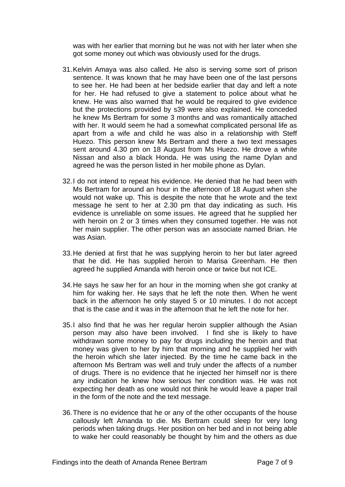was with her earlier that morning but he was not with her later when she got some money out which was obviously used for the drugs.

- 31. Kelvin Amaya was also called. He also is serving some sort of prison sentence. It was known that he may have been one of the last persons to see her. He had been at her bedside earlier that day and left a note for her. He had refused to give a statement to police about what he knew. He was also warned that he would be required to give evidence but the protections provided by s39 were also explained. He conceded he knew Ms Bertram for some 3 months and was romantically attached with her. It would seem he had a somewhat complicated personal life as apart from a wife and child he was also in a relationship with Steff Huezo. This person knew Ms Bertram and there a two text messages sent around 4.30 pm on 18 August from Ms Huezo. He drove a white Nissan and also a black Honda. He was using the name Dylan and agreed he was the person listed in her mobile phone as Dylan.
- 32. I do not intend to repeat his evidence. He denied that he had been with Ms Bertram for around an hour in the afternoon of 18 August when she would not wake up. This is despite the note that he wrote and the text message he sent to her at 2.30 pm that day indicating as such. His evidence is unreliable on some issues. He agreed that he supplied her with heroin on 2 or 3 times when they consumed together. He was not her main supplier. The other person was an associate named Brian. He was Asian.
- 33. He denied at first that he was supplying heroin to her but later agreed that he did. He has supplied heroin to Marisa Greenham. He then agreed he supplied Amanda with heroin once or twice but not ICE.
- 34. He says he saw her for an hour in the morning when she got cranky at him for waking her. He says that he left the note then. When he went back in the afternoon he only stayed 5 or 10 minutes. I do not accept that is the case and it was in the afternoon that he left the note for her.
- 35. I also find that he was her regular heroin supplier although the Asian person may also have been involved. I find she is likely to have withdrawn some money to pay for drugs including the heroin and that money was given to her by him that morning and he supplied her with the heroin which she later injected. By the time he came back in the afternoon Ms Bertram was well and truly under the affects of a number of drugs. There is no evidence that he injected her himself nor is there any indication he knew how serious her condition was. He was not expecting her death as one would not think he would leave a paper trail in the form of the note and the text message.
- 36. There is no evidence that he or any of the other occupants of the house callously left Amanda to die. Ms Bertram could sleep for very long periods when taking drugs. Her position on her bed and in not being able to wake her could reasonably be thought by him and the others as due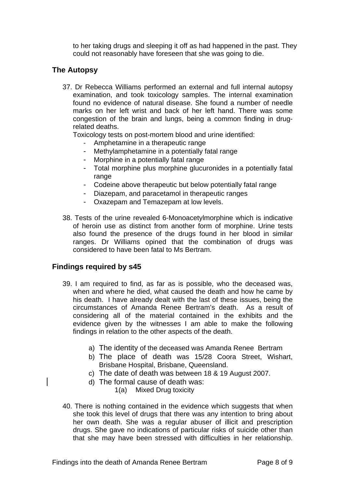to her taking drugs and sleeping it off as had happened in the past. They could not reasonably have foreseen that she was going to die.

## **The Autopsy**

37. Dr Rebecca Williams performed an external and full internal autopsy examination, and took toxicology samples. The internal examination found no evidence of natural disease. She found a number of needle marks on her left wrist and back of her left hand. There was some congestion of the brain and lungs, being a common finding in drugrelated deaths.

Toxicology tests on post-mortem blood and urine identified:

- Amphetamine in a therapeutic range
- Methylamphetamine in a potentially fatal range
- Morphine in a potentially fatal range
- Total morphine plus morphine glucuronides in a potentially fatal range
- Codeine above therapeutic but below potentially fatal range
- Diazepam, and paracetamol in therapeutic ranges
- Oxazepam and Temazepam at low levels.
- 38. Tests of the urine revealed 6-Monoacetylmorphine which is indicative of heroin use as distinct from another form of morphine. Urine tests also found the presence of the drugs found in her blood in similar ranges. Dr Williams opined that the combination of drugs was considered to have been fatal to Ms Bertram.

### **Findings required by s45**

- 39. I am required to find, as far as is possible, who the deceased was, when and where he died, what caused the death and how he came by his death. I have already dealt with the last of these issues, being the circumstances of Amanda Renee Bertram's death. As a result of considering all of the material contained in the exhibits and the evidence given by the witnesses I am able to make the following findings in relation to the other aspects of the death.
	- a) The identity of the deceased was Amanda Renee Bertram
	- b) The place of death was 15/28 Coora Street, Wishart, Brisbane Hospital, Brisbane, Queensland.
	- c) The date of death was between 18 & 19 August 2007.
	- d) The formal cause of death was:

1(a) Mixed Drug toxicity

40. There is nothing contained in the evidence which suggests that when she took this level of drugs that there was any intention to bring about her own death. She was a regular abuser of illicit and prescription drugs. She gave no indications of particular risks of suicide other than that she may have been stressed with difficulties in her relationship.